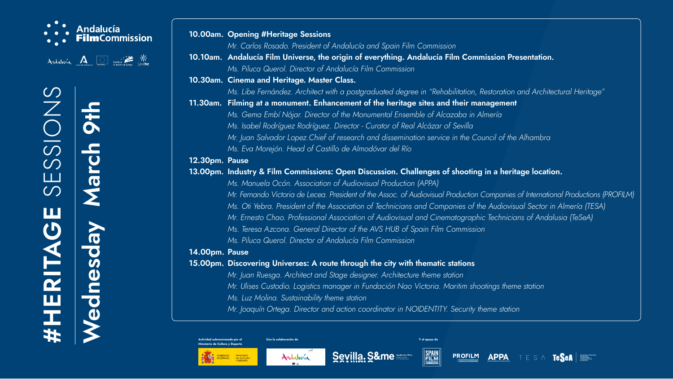











## **#HERITAGE** SESSIONS  $\bigcirc$  $\bigcirc$  $\bigcirc$  $\Box$  $\bigcirc$ **MAR** T CZ **TIME**

**10.10am. Andalucía Film Universe, the origin of everything. Andalucía Film Commission Presentation.** dalucía Film Commission

 *Ms. Libe Fernández. Architect with a postgraduated degree in "Rehabilitation, Restoration and Architectural Heritage"* **11.30** Icement of the heritage sites and their management

 *Ms. Manuela Ocón. Association of Audiovisual Production (APPA)*  resident of the Assoc. of Audiovisual Production Companies of International Productions (PROFILM) *Ssociation of Technicians and Companies of the Audiovisual Sector in Almería (TESA) Mr. Ernesto Chao. Professional Association of Audiovisual and Cinematographic Technicians of Andalusia (TeSeA)*  ctor of the AVS HUB of Spain Film Commission  *Malucía Film Commission* 

### **through the city with thematic stations**

 *Ms. Gema Embí Nájar. Director of the Monumental Ensemble of Alcazaba in Almería*  Director - Curator of Real Alcázar of Sevilla research and dissemination service in the Council of the Alhambra  *Ms. Eva Morejón. Head of Castillo de Almodóvar del Río*

### **13.000 Discussion. Challenges of shooting in a heritage location.**

age designer. Architecture theme station  *Mr. Ulises Custodio. Logistics manager in Fundación Nao Victoria. Maritim shootings theme station Ms. Luz Molina. Sustainability theme station*

action coordinator in NOIDENTITY. Security theme station











# **Wednesday March 9th**  UR  $\bigoplus$

|                | 10.00am. Opening #Heritage Sessions           |
|----------------|-----------------------------------------------|
|                | Mr. Carlos Rosado. President of Andalua       |
|                | 10.10am. Andalucía Film Universe, the origin  |
|                | Ms. Piluca Querol. Director of Andalucía      |
|                | 10.30am. Cinema and Heritage. Master Class.   |
|                | Ms. Libe Fernández. Architect with a pos      |
|                | 11.30am. Filming at a monument. Enhancemer    |
|                | Ms. Gema Embí Nájar. Director of the N        |
|                | Ms. Isabel Rodríguez Rodríguez. Directo       |
|                | Mr. Juan Salvador Lopez. Chief of resear      |
|                | Ms. Eva Morejón. Head of Castillo de A        |
| 12.30pm. Pause |                                               |
|                | 13.00pm. Industry & Film Commissions: Open    |
|                | Ms. Manuela Ocón. Association of Audi         |
|                | Mr. Fernando Victoria de Lecea. President     |
|                | Ms. Oti Yebra. President of the Associati     |
|                | Mr. Ernesto Chao. Professional Associat.      |
|                | Ms. Teresa Azcona. General Director of        |
|                | Ms. Piluca Querol. Director of Andalucía      |
| 14.00pm. Pause |                                               |
|                | 15.00pm. Discovering Universes: A route throu |
|                | Mr. Juan Ruesga. Architect and Stage de       |
|                | Mr. Ulises Custodio. Logistics manager il     |
|                | Ms. Luz Molina. Sustainability theme stat     |
|                | Mr. Joaquín Ortega. Director and action       |
|                |                                               |

**Actividad subvencionada por el Ministerio de Cultura y Deporte**



MINISTERIO<br>DE CULTURA Y DEPORTE

**Con la colaboración de Y el apoyo de**





### *Andalucía and Spain Film Commission*